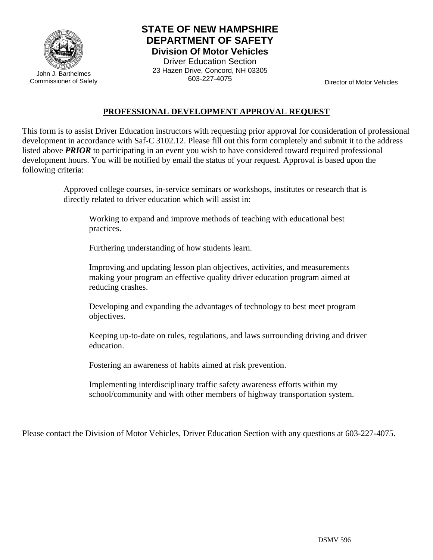

John J. Barthelmes Commissioner of Safety

## **STATE OF NEW HAMPSHIRE DEPARTMENT OF SAFETY Division Of Motor Vehicles**

Driver Education Section 23 Hazen Drive, Concord, NH 03305 603-227-4075

Director of Motor Vehicles

## **PROFESSIONAL DEVELOPMENT APPROVAL REQUEST**

This form is to assist Driver Education instructors with requesting prior approval for consideration of professional development in accordance with Saf-C 3102.12. Please fill out this form completely and submit it to the address listed above *PRIOR* to participating in an event you wish to have considered toward required professional development hours. You will be notified by email the status of your request. Approval is based upon the following criteria:

> Approved college courses, in-service seminars or workshops, institutes or research that is directly related to driver education which will assist in:

Working to expand and improve methods of teaching with educational best practices.

Furthering understanding of how students learn.

Improving and updating lesson plan objectives, activities, and measurements making your program an effective quality driver education program aimed at reducing crashes.

Developing and expanding the advantages of technology to best meet program objectives.

Keeping up-to-date on rules, regulations, and laws surrounding driving and driver education.

Fostering an awareness of habits aimed at risk prevention.

Implementing interdisciplinary traffic safety awareness efforts within my school/community and with other members of highway transportation system.

Please contact the Division of Motor Vehicles, Driver Education Section with any questions at 603-227-4075.